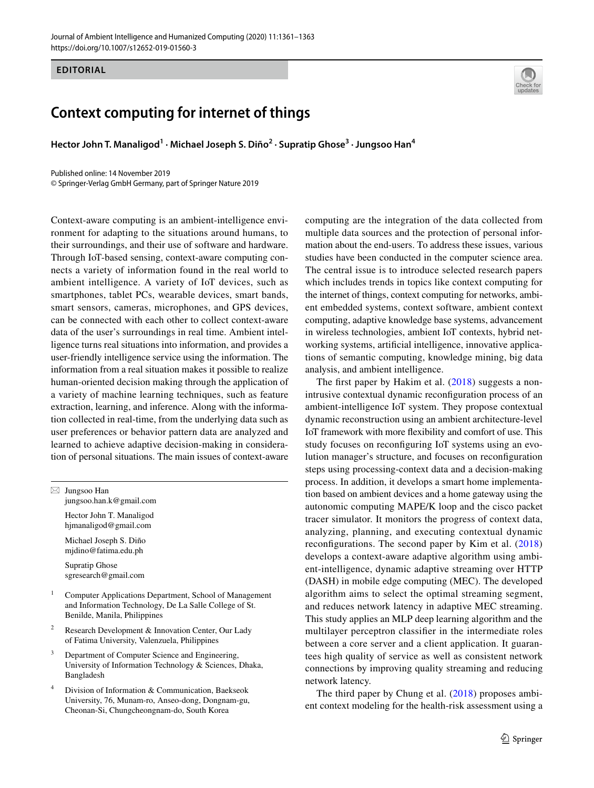## **EDITORIAL**

## **Context computing for internet of things**

**Hector John T. Manaligod1 · Michael Joseph S. Diño2 · Supratip Ghose3 · Jungsoo Han4**

Published online: 14 November 2019 © Springer-Verlag GmbH Germany, part of Springer Nature 2019

Context-aware computing is an ambient-intelligence environment for adapting to the situations around humans, to their surroundings, and their use of software and hardware. Through IoT-based sensing, context-aware computing connects a variety of information found in the real world to ambient intelligence. A variety of IoT devices, such as smartphones, tablet PCs, wearable devices, smart bands, smart sensors, cameras, microphones, and GPS devices, can be connected with each other to collect context-aware data of the user's surroundings in real time. Ambient intelligence turns real situations into information, and provides a user-friendly intelligence service using the information. The information from a real situation makes it possible to realize human-oriented decision making through the application of a variety of machine learning techniques, such as feature extraction, learning, and inference. Along with the information collected in real-time, from the underlying data such as user preferences or behavior pattern data are analyzed and learned to achieve adaptive decision-making in consideration of personal situations. The main issues of context-aware

 $\boxtimes$  Jungsoo Han jungsoo.han.k@gmail.com

> Hector John T. Manaligod hjmanaligod@gmail.com

Michael Joseph S. Diño mjdino@fatima.edu.ph

Supratip Ghose sgresearch@gmail.com

- <sup>1</sup> Computer Applications Department, School of Management and Information Technology, De La Salle College of St. Benilde, Manila, Philippines
- <sup>2</sup> Research Development & Innovation Center, Our Lady of Fatima University, Valenzuela, Philippines
- <sup>3</sup> Department of Computer Science and Engineering, University of Information Technology & Sciences, Dhaka, Bangladesh
- Division of Information & Communication, Baekseok University, 76, Munam-ro, Anseo-dong, Dongnam-gu, Cheonan-Si, Chungcheongnam-do, South Korea

computing are the integration of the data collected from multiple data sources and the protection of personal information about the end-users. To address these issues, various studies have been conducted in the computer science area. The central issue is to introduce selected research papers which includes trends in topics like context computing for the internet of things, context computing for networks, ambient embedded systems, context software, ambient context computing, adaptive knowledge base systems, advancement in wireless technologies, ambient IoT contexts, hybrid networking systems, artifcial intelligence, innovative applications of semantic computing, knowledge mining, big data analysis, and ambient intelligence.

The first paper by Hakim et al. ([2018](#page-2-0)) suggests a nonintrusive contextual dynamic reconfguration process of an ambient-intelligence IoT system. They propose contextual dynamic reconstruction using an ambient architecture-level IoT framework with more fexibility and comfort of use. This study focuses on reconfguring IoT systems using an evolution manager's structure, and focuses on reconfguration steps using processing-context data and a decision-making process. In addition, it develops a smart home implementation based on ambient devices and a home gateway using the autonomic computing MAPE/K loop and the cisco packet tracer simulator. It monitors the progress of context data, analyzing, planning, and executing contextual dynamic reconfgurations. The second paper by Kim et al. ([2018\)](#page-2-1) develops a context-aware adaptive algorithm using ambient-intelligence, dynamic adaptive streaming over HTTP (DASH) in mobile edge computing (MEC). The developed algorithm aims to select the optimal streaming segment, and reduces network latency in adaptive MEC streaming. This study applies an MLP deep learning algorithm and the multilayer perceptron classifer in the intermediate roles between a core server and a client application. It guarantees high quality of service as well as consistent network connections by improving quality streaming and reducing network latency.

The third paper by Chung et al. [\(2018\)](#page-2-2) proposes ambient context modeling for the health-risk assessment using a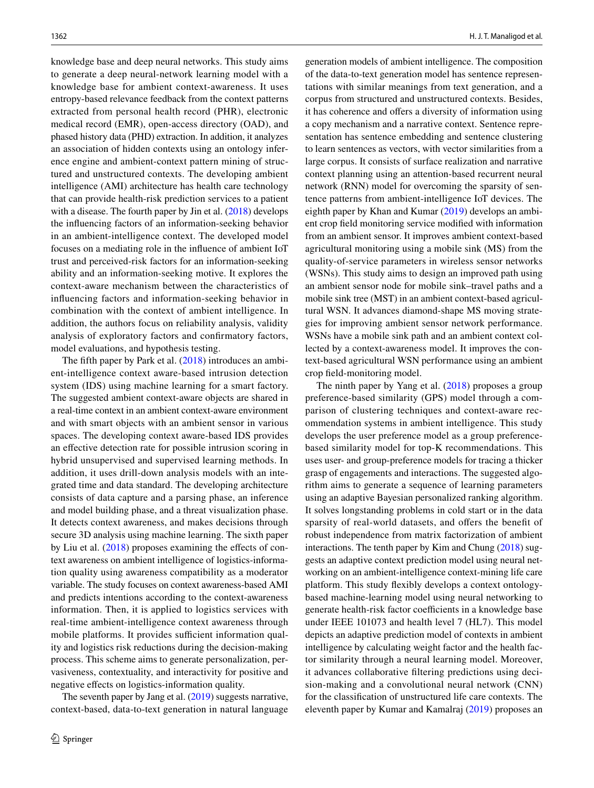knowledge base and deep neural networks. This study aims to generate a deep neural-network learning model with a knowledge base for ambient context-awareness. It uses entropy-based relevance feedback from the context patterns extracted from personal health record (PHR), electronic medical record (EMR), open-access directory (OAD), and phased history data (PHD) extraction. In addition, it analyzes an association of hidden contexts using an ontology inference engine and ambient-context pattern mining of structured and unstructured contexts. The developing ambient intelligence (AMI) architecture has health care technology that can provide health-risk prediction services to a patient with a disease. The fourth paper by Jin et al.  $(2018)$  develops the infuencing factors of an information-seeking behavior in an ambient-intelligence context. The developed model focuses on a mediating role in the infuence of ambient IoT trust and perceived-risk factors for an information-seeking ability and an information-seeking motive. It explores the context-aware mechanism between the characteristics of infuencing factors and information-seeking behavior in combination with the context of ambient intelligence. In addition, the authors focus on reliability analysis, validity analysis of exploratory factors and confrmatory factors, model evaluations, and hypothesis testing.

The ffth paper by Park et al. [\(2018](#page-2-4)) introduces an ambient-intelligence context aware-based intrusion detection system (IDS) using machine learning for a smart factory. The suggested ambient context-aware objects are shared in a real-time context in an ambient context-aware environment and with smart objects with an ambient sensor in various spaces. The developing context aware-based IDS provides an efective detection rate for possible intrusion scoring in hybrid unsupervised and supervised learning methods. In addition, it uses drill-down analysis models with an integrated time and data standard. The developing architecture consists of data capture and a parsing phase, an inference and model building phase, and a threat visualization phase. It detects context awareness, and makes decisions through secure 3D analysis using machine learning. The sixth paper by Liu et al.  $(2018)$  $(2018)$  proposes examining the effects of context awareness on ambient intelligence of logistics-information quality using awareness compatibility as a moderator variable. The study focuses on context awareness-based AMI and predicts intentions according to the context-awareness information. Then, it is applied to logistics services with real-time ambient-intelligence context awareness through mobile platforms. It provides sufficient information quality and logistics risk reductions during the decision-making process. This scheme aims to generate personalization, pervasiveness, contextuality, and interactivity for positive and negative efects on logistics-information quality.

The seventh paper by Jang et al. ([2019](#page-2-6)) suggests narrative, context-based, data-to-text generation in natural language

generation models of ambient intelligence. The composition of the data-to-text generation model has sentence representations with similar meanings from text generation, and a corpus from structured and unstructured contexts. Besides, it has coherence and offers a diversity of information using a copy mechanism and a narrative context. Sentence representation has sentence embedding and sentence clustering to learn sentences as vectors, with vector similarities from a large corpus. It consists of surface realization and narrative context planning using an attention-based recurrent neural network (RNN) model for overcoming the sparsity of sentence patterns from ambient-intelligence IoT devices. The eighth paper by Khan and Kumar [\(2019](#page-2-7)) develops an ambient crop feld monitoring service modifed with information from an ambient sensor. It improves ambient context-based agricultural monitoring using a mobile sink (MS) from the quality-of-service parameters in wireless sensor networks (WSNs). This study aims to design an improved path using an ambient sensor node for mobile sink–travel paths and a mobile sink tree (MST) in an ambient context-based agricultural WSN. It advances diamond-shape MS moving strategies for improving ambient sensor network performance. WSNs have a mobile sink path and an ambient context collected by a context-awareness model. It improves the context-based agricultural WSN performance using an ambient crop feld-monitoring model.

The ninth paper by Yang et al. ([2018](#page-2-8)) proposes a group preference-based similarity (GPS) model through a comparison of clustering techniques and context-aware recommendation systems in ambient intelligence. This study develops the user preference model as a group preferencebased similarity model for top-K recommendations. This uses user- and group-preference models for tracing a thicker grasp of engagements and interactions. The suggested algorithm aims to generate a sequence of learning parameters using an adaptive Bayesian personalized ranking algorithm. It solves longstanding problems in cold start or in the data sparsity of real-world datasets, and offers the benefit of robust independence from matrix factorization of ambient interactions. The tenth paper by Kim and Chung ([2018\)](#page-2-9) suggests an adaptive context prediction model using neural networking on an ambient-intelligence context-mining life care platform. This study fexibly develops a context ontologybased machine-learning model using neural networking to generate health-risk factor coefficients in a knowledge base under IEEE 101073 and health level 7 (HL7). This model depicts an adaptive prediction model of contexts in ambient intelligence by calculating weight factor and the health factor similarity through a neural learning model. Moreover, it advances collaborative fltering predictions using decision-making and a convolutional neural network (CNN) for the classifcation of unstructured life care contexts. The eleventh paper by Kumar and Kamalraj [\(2019\)](#page-2-10) proposes an